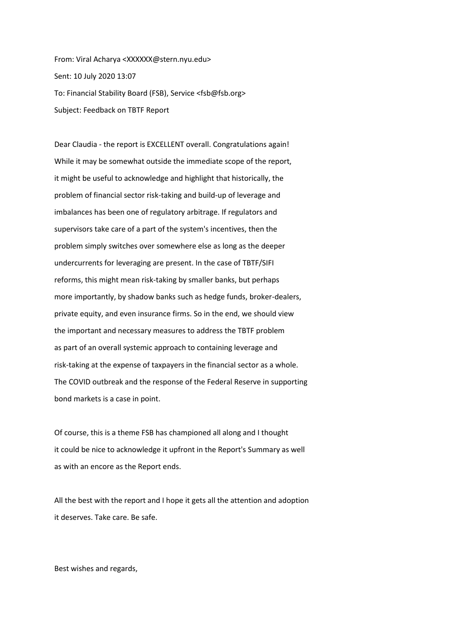From: Viral Acharya <XXXXXX@stern.nyu.edu> Sent: 10 July 2020 13:07 To: Financial Stability Board (FSB), Service <fsb@fsb.org> Subject: Feedback on TBTF Report

Dear Claudia - the report is EXCELLENT overall. Congratulations again! While it may be somewhat outside the immediate scope of the report, it might be useful to acknowledge and highlight that historically, the problem of financial sector risk-taking and build-up of leverage and imbalances has been one of regulatory arbitrage. If regulators and supervisors take care of a part of the system's incentives, then the problem simply switches over somewhere else as long as the deeper undercurrents for leveraging are present. In the case of TBTF/SIFI reforms, this might mean risk-taking by smaller banks, but perhaps more importantly, by shadow banks such as hedge funds, broker-dealers, private equity, and even insurance firms. So in the end, we should view the important and necessary measures to address the TBTF problem as part of an overall systemic approach to containing leverage and risk-taking at the expense of taxpayers in the financial sector as a whole. The COVID outbreak and the response of the Federal Reserve in supporting bond markets is a case in point.

Of course, this is a theme FSB has championed all along and I thought it could be nice to acknowledge it upfront in the Report's Summary as well as with an encore as the Report ends.

All the best with the report and I hope it gets all the attention and adoption it deserves. Take care. Be safe.

Best wishes and regards,